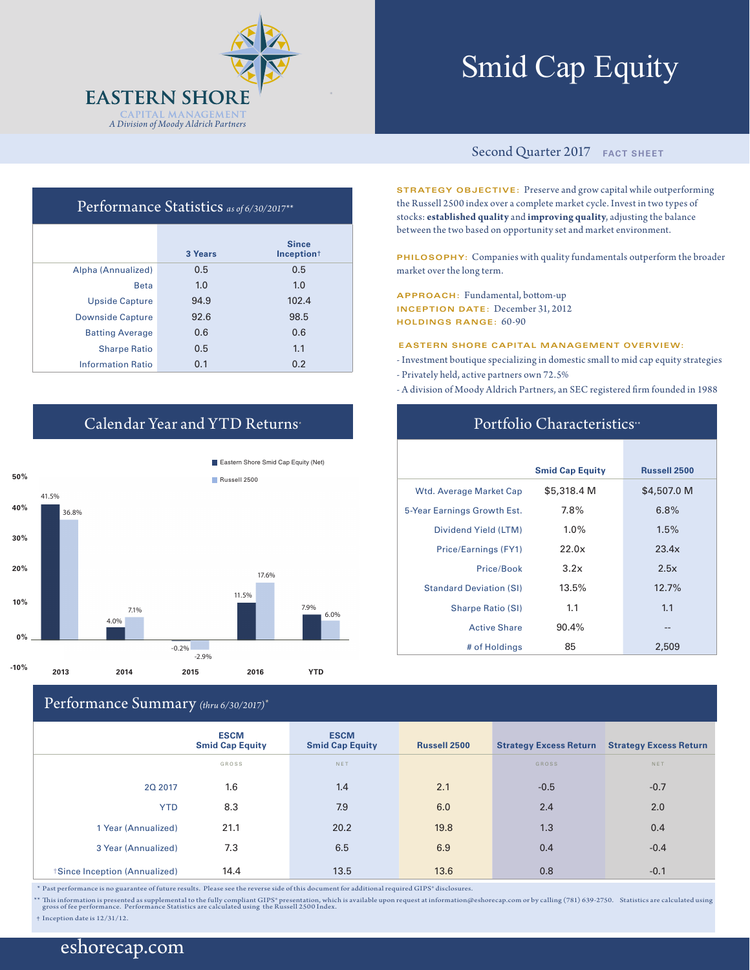

# Smid Cap Equity

#### Second Quarter 2017 **FACT SHEET**

**STRATEGY OBJECTIVE:** Preserve and grow capital while outperforming the Russell 2500 index over a complete market cycle. Invest in two types of stocks: **established quality** and **improving quality**, adjusting the balance between the two based on opportunity set and market environment.

**PHILOSOPHY:** Companies with quality fundamentals outperform the broader market over the long term.

**APPROACH:** Fundamental, bottom-up **INCEPTION DATE:** December 31, 2012 **HOLDINGS RANGE:** 60-90

**EASTERN SHORE CAPITAL MANAGEMENT OVERVIEW:**

- Investment boutique specializing in domestic small to mid cap equity strategies - Privately held, active partners own 72.5%
- A division of Moody Aldrich Partners, an SEC registered firm founded in 1988

## Portfolio Characteristics<sup>\*\*</sup>

|                                | <b>Smid Cap Equity</b> | <b>Russell 2500</b> |
|--------------------------------|------------------------|---------------------|
| Wtd. Average Market Cap        | \$5,318.4 M            | \$4,507.0 M         |
| 5-Year Earnings Growth Est.    | 7.8%                   | 6.8%                |
| Dividend Yield (LTM)           | $1.0\%$                | 1.5%                |
| Price/Earnings (FY1)           | 22.0x                  | 23.4x               |
| Price/Book                     | 3.2x                   | 2.5x                |
| <b>Standard Deviation (SI)</b> | 13.5%                  | 12.7%               |
| <b>Sharpe Ratio (SI)</b>       | 1.1                    | 1.1                 |
| <b>Active Share</b>            | 90.4%                  | --                  |
| # of Holdings                  | 85                     | 2,509               |

# Performance Statistics *as of 6/30/2017\*\**

|                          | 3 Years | <b>Since</b><br>Inception <sup>+</sup> |
|--------------------------|---------|----------------------------------------|
| Alpha (Annualized)       | 0.5     | 0.5                                    |
| <b>Beta</b>              | 1.0     | 1.0                                    |
| <b>Upside Capture</b>    | 94.9    | 102.4                                  |
| <b>Downside Capture</b>  | 92.6    | 98.5                                   |
| <b>Batting Average</b>   | 0.6     | 0.6                                    |
| <b>Sharpe Ratio</b>      | 0.5     | 1.1                                    |
| <b>Information Ratio</b> | 0.1     | 0.2                                    |

# Calendar Year and YTD Returns\*



## Performance Summary *(thru 6/30/2017)\**

|                              | $\sim$ $\sim$ $\sim$ $\sim$ $\sim$ $\sim$ |                                       |              |                               |                               |
|------------------------------|-------------------------------------------|---------------------------------------|--------------|-------------------------------|-------------------------------|
|                              | <b>ESCM</b><br><b>Smid Cap Equity</b>     | <b>ESCM</b><br><b>Smid Cap Equity</b> | Russell 2500 | <b>Strategy Excess Return</b> | <b>Strategy Excess Return</b> |
|                              | GROSS                                     | <b>NET</b>                            |              | GROSS                         | NET                           |
| 20 2017                      | 1.6                                       | 1.4                                   | 2.1          | $-0.5$                        | $-0.7$                        |
| <b>YTD</b>                   | 8.3                                       | 7.9                                   | 6.0          | 2.4                           | 2.0                           |
| 1 Year (Annualized)          | 21.1                                      | 20.2                                  | 19.8         | 1.3                           | 0.4                           |
| 3 Year (Annualized)          | 7.3                                       | 6.5                                   | 6.9          | 0.4                           | $-0.4$                        |
| Since Inception (Annualized) | 14.4                                      | 13.5                                  | 13.6         | 0.8                           | $-0.1$                        |

 $^\ast$  Past performance is no guarantee of future results. Please see the reverse side of this document for additional required GIPS® disclosures.

\*\* This information is presented as supplemental to the fully compliant GIPS" presentation, which is available upon request at information@eshorecap.com or by calling (781) 639-2750. Statistics are calculated using<br>gros

† Inception date is 12/31/12.